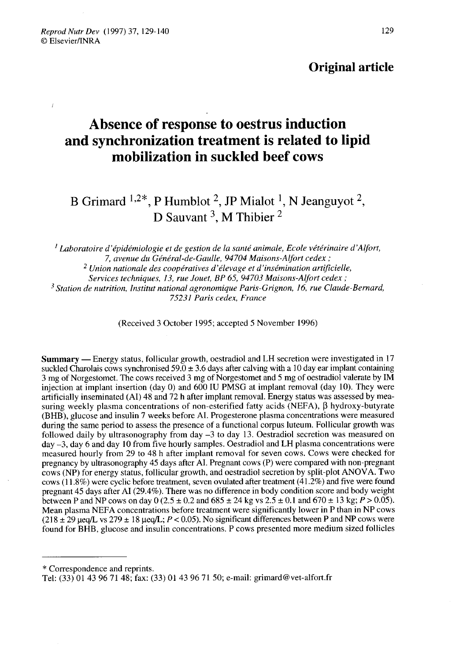# Absence of response to oestrus induction and synchronization treatment is related to lipid mobilization in suckled beef cows

B Grimard <sup>1,2\*</sup>, P Humblot <sup>2</sup>, JP Mialot <sup>1</sup>, N Jeanguyot P Humblot <sup>2</sup>, JP Mialot<br>D Sauvant <sup>3</sup>, M Thibier

 $<sup>1</sup>$  Laboratoire d'épidémiologie et de gestion de la santé animale, Ecole vétérinaire d'Alfort,</sup> 7, avenue du Général-de-Gaulle, 94704 Maisons-Alfort cedex ;  $2$  Union nationale des coopératives d'élevage et d'insémination artificielle, Services techniques, 13, rue Jouet, BP 65, 94703 Maisons-Alfort cedex ;  $3$  Station de nutrition, Institut national agronomique Paris-Grignon, 16, rue Claude-Bernard, 75231 Paris cedex, France

(Received 3 October 1995; accepted 5 November 1996)

Summary ― Energy status, follicular growth, oestradiol and LH secretion were investigated in 17 suckled Charolais cows synchronised 59.0  $\pm$  3.6 days after calving with a 10 day ear implant containing 3 mg of Norgestomet. The cows received 3 mg of Norgestomet and 5 mg of oestradiol valerate by IM injection at implant insertion (day 0) and 600 IU PMSG at implant removal (day 10). They were artificially inseminated (AI) 48 and 72 h after implant removal. Energy status was assessed by measuring weekly plasma concentrations of non-esterified fatty acids (NEFA),  $\beta$  hydroxy-butyrate (BHB), glucose and insulin 7 weeks before AI. Progesterone plasma concentrations were measured during the same period to assess the presence of a functional corpus luteum. Follicular growth was followed daily by ultrasonography from day  $-3$  to day 13. Oestradiol secretion was measured on day -3, day 6 and day 10 from five hourly samples. Oestradiol and LH plasma concentrations were measured hourly from 29 to 48 h after implant removal for seven cows. Cows were checked for pregnancy by ultrasonography 45 days after AI. Pregnant cows (P) were compared with non-pregnant cows (NP) for energy status, follicular growth, and oestradiol secretion by split-plot ANOVA. Two cows (11.8%) were cyclic before treatment, seven ovulated after treatment (41.2%) and five were found pregnant 45 days after AI (29.4%). There was no difference in body condition score and body weight between P and NP cows on day 0 (2.5  $\pm$  0.2 and 685  $\pm$  24 kg vs 2.5  $\pm$  0.1 and 670  $\pm$  13 kg; P > 0.05). Mean plasma NEFA concentrations before treatment were significantly lower in P than in NP cows  $(218 \pm 29 \,\text{keq/L} \text{ vs } 279 \pm 18 \,\text{keq/L}; P < 0.05)$ . No significant differences between P and NP cows were found for BHB, glucose and insulin concentrations. P cows presented more medium sized follicles

\* Correspondence and reprints.

Tel: (33) 01 43 96 71 48; fax: (33) 01 43 96 71 50; e-mail: grimard@vet-alfort.fr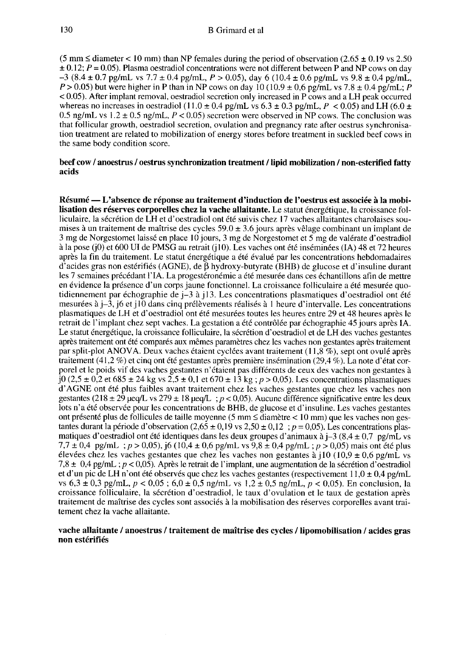(5 mm  $\le$  diameter  $<$  10 mm) than NP females during the period of observation (2.65  $\pm$  0.19 vs 2.50  $\pm$  0.12;  $P = 0.05$ ). Plasma oestradiol concentrations were not different between P and NP cows on day  $-3$  (8.4 ± 0.7 pg/mL vs 7.7 ± 0.4 pg/mL, P > 0.05), day 6 (10.4 ± 0.6 pg/mL vs 9.8 ± 0.4 pg/mL, P > 0.05) but were higher in P than in NP cows on day 10 (10.9 ± 0.6 pg/mL vs 7.8 ± 0.4 pg/mL; P < 0.05). After implant removal, oestradiol secretion only increased in P cows and a LH peak occurred whereas no increases in oestradiol (11.0  $\pm$  0.4 pg/mL vs 6.3  $\pm$  0.3 pg/mL, P < 0.05) and LH (6.0  $\pm$ 0.5 ng/mL vs  $1.2 \pm 0.5$  ng/mL,  $P < 0.05$ ) secretion were observed in NP cows. The conclusion was that follicular growth, oestradiol secretion, ovulation and pregnancy rate after oestrus synchronisation treatment are related to mobilization of energy stores before treatment in suckled beef cows in the same body condition score.

#### beef cow / anoestrus / oestrus synchronization treatment / lipid mobilization / non-esterified fatty acids

Résumé ― L'absence de réponse au traitement d'induction de l'oestrus est associée à la mobilisation des réserves corporelles chez la vache allaitante. Le statut énergétique, la croissance folliculaire, la sécrétion de LH et d'oestradiol ont été suivis chez 17 vaches allaitantes charolaises soumises à un traitement de maîtrise des cycles  $59.0 \pm 3.6$  jours après vêlage combinant un implant de 3 mg de Norgestomet laissé en place 10 jours, 3 mg de Norgestomet et 5 mg de valérate d'oestradiol à la pose (j0) et 600 UI de PMSG au retrait (j 10). Les vaches ont été inséminées (IA) 48 et 72 heures après la fin du traitement. Le statut énergétique a été évalué par les concentrations hebdomadaires d'acides gras non estérifiés (AGNE), de  $\beta$  hydroxy-butyrate (BHB) de glucose et d'insuline durant les 7 semaines précédant l'IA. La progestéronémie a été mesurée dans ces échantillons afin de mettre en évidence la présence d'un corps jaune fonctionnel. La croissance folliculaire a été mesurée quotidiennement par échographie de j-3 à j 13. Les concentrations plasmatiques d'oestradiol ont été mesurées à j-3, j6 et j 10 dans cinq prélèvements réalisés à 1 heure d'intervalle. Les concentrations plasmatiques de LH et d'oestradiol ont été mesurées toutes les heures entre 29 et 48 heures après le retrait de l'implant chez sept vaches. La gestation a été contrôlée par échographie 45 jours après IA. Le statut énergétique, la croissance folliculaire, la sécrétion d'oestradiol et de LH des vaches gestantes après traitement ont été comparés aux mêmes paramètres chez les vaches non gestantes après traitement par split-plot ANOVA. Deux vaches étaient cyclées avant traitement (11,8 %), sept ont ovulé après traitement (41,2 %) et cinq ont été gestantes après première insémination (29,4 %). La note d'état corporel et le poids vif des vaches gestantes n'étaient pas différents de ceux des vaches non gestantes à j0 (2,5  $\pm$  0,2 et 685  $\pm$  24 kg vs 2,5  $\pm$  0,1 et 670  $\pm$  13 kg ; p > 0,05). Les concentrations plasmatiques d'AGNE ont été plus faibles avant traitement chez les vaches gestantes que chez les vaches non gestantes (218 ± 29 µeq/L vs 279 ± 18 µeq/L ;  $p < 0.05$ ). Aucune différence significative entre les deux lots n'a été observée pour les concentrations de BHB, de glucose et d'insuline. Les vaches gestantes ont présenté plus de follicules de taille moyenne (5 mm  $\leq$  diamètre  $<$  10 mm) que les vaches non gestantes durant la période d'observation  $(2,65 \pm 0,19 \text{ vs } 2,50 \pm 0,12 ; p = 0,05)$ . Les concentrations plasmatiques d'oestradiol ont été identiques dans les deux groupes d'animaux à j-3 (8,4 ± 0,7 pg/mL vs 7,7 ± 0,4 pg/mL ;  $p > 0,05$ ), j6 (10,4 ± 0,6 pg/mL vs 9,8 ± 0,4 pg/mL ;  $p > 0,05$ ) mais ont été plus élevées chez les vaches gestantes que chez les vaches non gestantes à j10 (10,9 ± 0,6 pg/mL vs 7,8  $\pm$  0,4 pg/mL ;  $p < 0,05$ ). Après le retrait de l'implant, une augmentation de la sécrétion d'oestradiol et d'un pic de LH n'ont été observés que chez les vaches gestantes (respectivement 11,0  $\pm$  0,4 pg/mL vs  $6.3 \pm 0.3$  pg/mL,  $p < 0.05$ ;  $6.0 \pm 0.5$  ng/mL vs  $1.2 \pm 0.5$  ng/mL,  $p < 0.05$ ). En conclusion, la croissance folliculaire, la sécrétion d'oestradiol, le taux d'ovulation et le taux de gestation après traitement de maîtrise des cycles sont associés à la mobilisation des réserves corporelles avant traitement chez la vache allaitante.

# vache allaitante / anoestrus / traitement de maîtrise des cycles / lipomobilisation / acides gras non estérifiés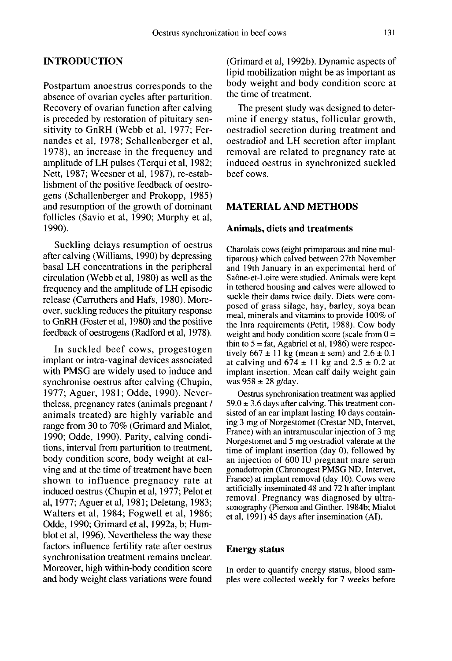# INTRODUCTION

Postpartum anoestrus corresponds to the absence of ovarian cycles after parturition. Recovery of ovarian function after calving is preceded by restoration of pituitary sensitivity to GnRH (Webb et al, 1977; Fernandes et al, 1978; Schallenberger et al, 1978), an increase in the frequency and amplitude of LH pulses (Terqui et al. 1982; Nett, 1987; Weesner et al, 1987), re-establishment of the positive feedback of oestrogens (Schallenberger and Prokopp, 1985) and resumption of the growth of dominant follicles (Savio et al, 1990; Murphy et al, 1990).

Suckling delays resumption of oestrus after calving (Williams, 1990) by depressing basal LH concentrations in the peripheral circulation (Webb et al, 1980) as well as the frequency and the amplitude of LH episodic release (Carruthers and Hafs, 1980). Moreover, suckling reduces the pituitary response to GnRH (Foster et al, 1980) and the positive feedback of oestrogens (Radford et al, 1978).

In suckled beef cows, progestogen implant or intra-vaginal devices associated with PMSG are widely used to induce and synchronise oestrus after calving (Chupin, 1977; Aguer, 1981; Odde, 1990). Nevertheless, pregnancy rates (animals pregnant / animals treated) are highly variable and range from 30 to 70% (Grimard and Mialot, 1990; Odde, 1990). Parity, calving conditions, interval from parturition to treatment, body condition score, body weight at calving and at the time of treatment have been shown to influence pregnancy rate at induced oestrus (Chupin et al, 1977; Pelot et al, 1977; Aguer et al, 1981; Deletang, 1983; Walters et al, 1984; Fogwell et al, 1986; Odde, 1990; Grimard et al, 1992a, b; Humblot et al, 1996). Nevertheless the way these factors influence fertility rate after oestrus synchronisation treatment remains unclear. Moreover, high within-body condition score and body weight class variations were found (Grimard et al, 1992b). Dynamic aspects of lipid mobilization might be as important as body weight and body condition score at the time of treatment.

The present study was designed to determine if energy status, follicular growth, oestradiol secretion during treatment and oestradiol and LH secretion after implant removal are related to pregnancy rate at induced oestrus in synchronized suckled beef cows.

# MATERIAL AND METHODS

#### Animals, diets and treatments

Charolais cows (eight primiparous and nine multiparous) which calved between 27th November and l9th January in an experimental herd of Sa6ne-et-Loire were studied. Animals were kept in tethered housing and calves were allowed to suckle their dams twice daily. Diets were composed of grass silage, hay, barley, soya bean meal, minerals and vitamins to provide 100% of the Inra requirements (Petit, 1988). Cow body weight and body condition score (scale from  $0 =$ thin to  $5 = \text{fat}$ , Agabriel et al, 1986) were respectively  $667 \pm 11$  kg (mean  $\pm$  sem) and  $2.6 \pm 0.1$ at calving and  $674 \pm 11$  kg and  $2.5 \pm 0.2$  at implant insertion. Mean calf daily weight gain was  $958 \pm 28$  g/day.

Oestrus synchronisation treatment was applied  $59.0 \pm 3.6$  days after calving. This treatment consisted of an ear implant lasting 10 days containing 3 mg of Norgestomet (Crestar ND, Intervet, France) with an intramuscular injection of 3 mg Norgestomet and 5 mg oestradiol valerate at the time of implant insertion (day 0), followed by an injection of 600 IU pregnant mare serum gonadotropin (Chronogest PMSG ND, Intervet, France) at implant removal (day 10). Cows were artificially inseminated 48 and 72 h after implant removal. Pregnancy was diagnosed by ultrasonography (Pierson and Ginther, 1984b; Mialot et at, 1991 ) 45 days after insemination (AI).

#### Energy status

In order to quantify energy status, blood samples were collected weekly for 7 weeks before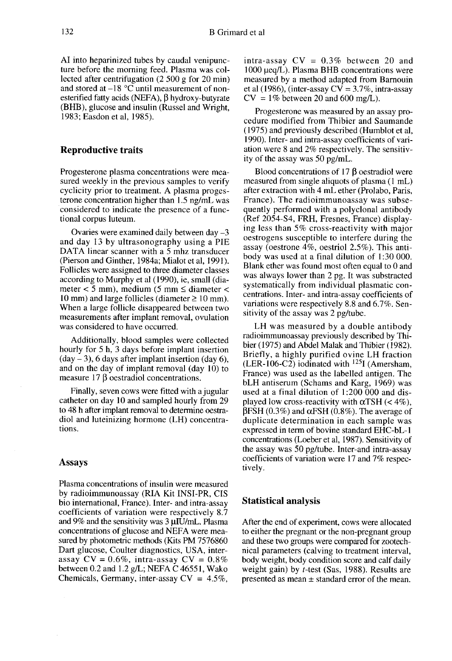AI into heparinized tubes by caudal venipunc ture before the morning feed. Plasma was collected after centrifugation (2 500 g for 20 min) and stored at  $-18$  °C until measurement of nonesterified fatty acids (NEFA),  $\beta$  hydroxy-butyrate (BHB), glucose and insulin (Russel and Wright, 1983; Easdon et al, 1985).

#### Reproductive traits

Progesterone plasma concentrations were measured weekly in the previous samples to verify cyclicity prior to treatment. A plasma proges terone concentration higher than 1.5 ng/mL was considered to indicate the presence of a functional corpus luteum.

Ovaries were examined daily between day  $-3$ and day 13 by ultrasonography using a PIE DATA linear scanner with a 5 mhz transducer (Pierson and Ginther, 1984a; Mialot et al, 1991). Follicles were assigned to three diameter classes according to Murphy et al (1990), ie, small (diameter  $<$  5 mm), medium (5 mm  $\leq$  diameter  $<$ 10 mm) and large follicles (diameter  $\geq$  10 mm). When a large follicle disappeared between two measurements after implant removal, ovulation was considered to have occurred.

Additionally, blood samples were collected hourly for 5 h, 3 days before implant insertion  $(\text{day} - 3)$ , 6 days after implant insertion  $(\text{day } 6)$ , and on the day of implant removal (day 10) to measure  $17 \beta$  oestradiol concentrations.

Finally, seven cows were fitted with a jugular catheter on day 10 and sampled hourly from 29 to 48 h after implant removal to determine oestradiol and luteinizing hormone (LH) concentrations.

#### Assays

Plasma concentrations of insulin were measured by radioimmunoassay (RIA Kit INSI-PR, CIS bio international, France). Inter- and intra-assay coefficients of variation were respectively 8.7 and 9% and the sensitivity was  $3 \mu$ IU/mL. Plasma concentrations of glucose and NEFA were measured by photometric methods (Kits PM 7576860 Dart glucose, Coulter diagnostics, USA, interassay  $CV = 0.6\%$ , intra-assay  $CV = 0.8\%$ between 0.2 and 1.2 g/L; NEFA C 46551, Wako Chemicals, Germany, inter-assay  $CV = 4.5\%$ , intra-assay  $CV = 0.3\%$  between 20 and  $1000 \mu$ eq/L). Plasma BHB concentrations were measured by a method adapted from Barnouin et al (1986), (inter-assay  $CV = 3.7\%$ , intra-assay  $CV = 1\%$  between 20 and 600 mg/L).

Progesterone was measured by an assay procedure modified from Thibier and Saumande (1975) and previously described (Humblot et al, 1990). Inter- and intra-assay coefficients of variation were 8 and 2% respectively. The sensitivity of the assay was 50 pg/mL.

Blood concentrations of 17 <sup>B</sup> oestradiol were measured from single aliquots of plasma (1 mL) after extraction with 4 mL ether (Prolabo, Paris, France). The radioimmunoassay was subsequently performed with a polyclonal antibody (Ref 2054-S4, FRH, Fresnes, France) displaying less than 5% cross-reactivity with major oestrogens susceptible to interfere during the assay (oestrone 4%, oestriol 2.5%). This antibody was used at a final dilution of 1:30 000. Blank ether was found most often equal to 0 and was always lower than 2 pg. It was substracted systematically from individual plasmatic concentrations. Inter- and intra-assay coefficients of variations were respectively 8.8 and 6.7%. Sensitivity of the assay was 2 pg/tube.

LH was measured by a double antibody radioimmunoassay previously described by Thibier (1975) and Abdel Malak and Thibier (1982). Briefly, a highly purified ovine LH fraction (LER-106-C2) iodinated with  $^{125}$ I (Amersham, France) was used as the labelled antigen. The bLH antiserum (Schams and Karg, 1969) was used at a final dilution of 1:200 000 and displayed low cross-reactivity with  $\alpha$ TSH (< 4%),  $BFSH (0.3\%)$  and  $\alpha FSH (0.8\%)$ . The average of duplicate determination in each sample was expressed in term of bovine standard EHC-bL-1 concentrations (Loeber et al, 1987). Sensitivity of the assay was 50 pg/tube. Inter-and intra-assay coefficients of variation were 17 and 7% respectively.

#### Statistical analysis

After the end of experiment, cows were allocated to either the pregnant or the non-pregnant group and these two groups were compared for zootechnical parameters (calving to treatment interval, body weight, body condition score and calf daily weight gain) by t-test (Sas, 1988). Results are presented as mean  $\pm$  standard error of the mean.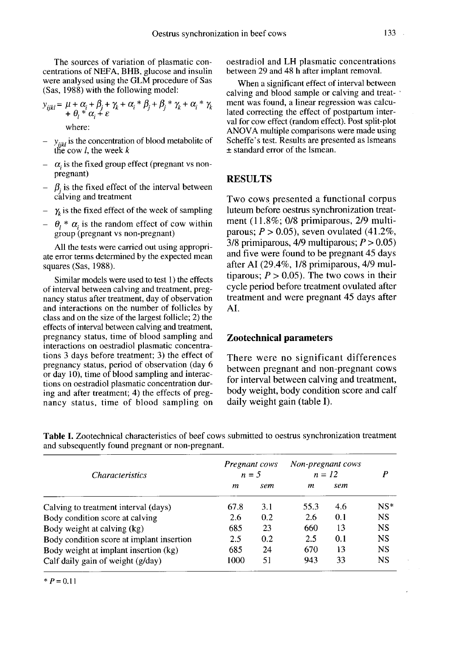The sources of variation of plasmatic concentrations of NEFA, BHB, glucose and insulin were analysed using the GLM procedure of Sas (Sas, 1988) with the following model:

$$
y_{ijkl} = \mu + \alpha_i + \beta_j + \gamma_k + \alpha_i * \beta_j + \beta_j * \gamma_k + \alpha_i * \gamma_k
$$
  
+  $\theta_i * \alpha_i + \varepsilon$   
where:

- $y_{iif}$  is the concentration of blood metabolite of the cow *l*, the week  $k$
- $-\alpha$  is the fixed group effect (pregnant vs nonpregnant)
- $\beta$  is the fixed effect of the interval between calving and treatment
- $\gamma_k$  is the fixed effect of the week of sampling
- $\gamma_k$  is the fixed effect of the week of sampling<br>-  $\theta_l * \alpha_i$  is the random effect of cow within<br>group (pregnant vs non-pregnant) group (pregnant vs non-pregnant)

All the tests were carried out using appropri ate error terms determined by the expected mean squares (Sas, 1988).

Similar models were used to test 1) the effects of interval between calving and treatment, pregnancy status after treatment, day of observation and interactions on the number of follicles by class and on the size of the largest follicle; 2) the effects of interval between calving and treatment, pregnancy status, time of blood sampling and interactions on oestradiol plasmatic concentrations 3 days before treatment; 3) the effect of pregnancy status, period of observation (day 6 or day 10), time of blood sampling and interactions on oestradiol plasmatic concentration during and after treatment; 4) the effects of pregnancy status, time of blood sampling on oestradiol and LH plasmatic concentrations between 29 and 48 h after implant removal.

When a significant effect of interval between calving and blood sample or calving and treatment was found, a linear regression was calculated correcting the effect of postpartum interval for cow effect (random effect). Post split-plot ANOVA multiple comparisons were made using Scheffe's test. Results are presented as Ismeans ± standard error of the lsmean.

# RESULTS

Two cows presented a functional corpus luteum before oestrus synchronization treatment (11.8%; 0/8 primiparous, 2/9 multiparous;  $P > 0.05$ ), seven ovulated (41.2%, 3/8 primiparous,  $4/9$  multiparous;  $P > 0.05$ ) and five were found to be pregnant 45 days after AI (29.4%, 1/8 primiparous, 4/9 multiparous;  $P > 0.05$ ). The two cows in their cycle period before treatment ovulated after treatment and were pregnant 45 days after AI.

#### Zootechnical parameters

There were no significant differences between pregnant and non-pregnant cows for interval between calving and treatment, body weight, body condition score and calf daily weight gain (table I).

| <i>Characteristics</i>                    | Pregnant cows<br>$n = 5$ |     | Non-pregnant cows<br>$n = 12$ |     | P         |
|-------------------------------------------|--------------------------|-----|-------------------------------|-----|-----------|
|                                           | m                        | sem | т                             | sem |           |
| Calving to treatment interval (days)      | 67.8                     | 3.1 | 55.3                          | 4.6 | $NS*$     |
| Body condition score at calving           | 2.6                      | 0.2 | 2.6                           | 0.1 | <b>NS</b> |
| Body weight at calving (kg)               | 685                      | 23  | 660                           | 13  | <b>NS</b> |
| Body condition score at implant insertion | 2.5                      | 0.2 | 2.5                           | 0.1 | <b>NS</b> |
| Body weight at implant insertion (kg)     | 685                      | 24  | 670                           | 13  | <b>NS</b> |
| Calf daily gain of weight (g/day)         | 1000                     | 51  | 943                           | 33  | <b>NS</b> |

Table I. Zootechnical characteristics of beef cows submitted to oestrus synchronization treatment and subsequently found pregnant or non-pregnant.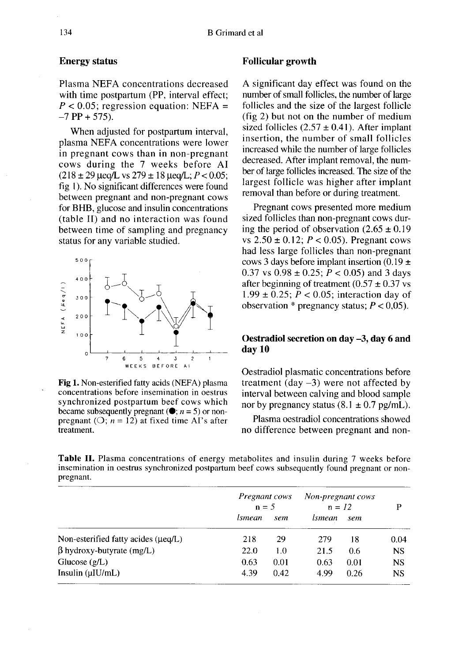#### Energy status

Plasma NEFA concentrations decreased with time postpartum (PP, interval effect;  $P < 0.05$ ; regression equation: NEFA =  $-7$  PP + 575).

When adjusted for postpartum interval, plasma NEFA concentrations were lower<br>in pregnant cows than in non-pregnant cows during the 7 weeks before AI  $(218 \pm 29 \text{~uea/L vs } 279 \pm 18 \text{~uea/L}: P < 0.05$ ; fig 1). No significant differences were found between pregnant and non-pregnant cows for BHB, glucose and insulin concentrations (table II) and no interaction was found between time of sampling and pregnancy status for any variable studied.



Fig 1. Non-esterified fatty acids (NEFA) plasma concentrations before insemination in oestrus synchronized postpartum beef cows which became subsequently pregnant ( $\bullet$ ; *n* = 5) or nonpregnant (O;  $n = 12$ ) at fixed time AI's after treatment.

# Follicular growth

A significant day effect was found on the number of small follicles, the number of large follicles and the size of the largest follicle (fig 2) but not on the number of medium sized follicles  $(2.57 \pm 0.41)$ . After implant insertion, the number of small follicles increased while the number of large follicles decreased. After implant removal, the number of large follicles increased. The size of the largest follicle was higher after implant removal than before or during treatment.

Pregnant cows presented more medium sized follicles than non-pregnant cows during the period of observation  $(2.65 \pm 0.19)$ vs  $2.50 \pm 0.12$ ;  $P < 0.05$ ). Pregnant cows had less large follicles than non-pregnant cows 3 days before implant insertion  $(0.19 \pm 1)$ 0.37 vs  $0.98 \pm 0.25$ ;  $P < 0.05$ ) and 3 days after beginning of treatment  $(0.57 \pm 0.37 \text{ vs }$ 1.99  $\pm$  0.25;  $\overline{P}$  < 0.05; interaction day of observation  $*$  pregnancy status;  $P < 0.05$ ).

# Oestradiol secretion on day -3, day 6 and day 10

Oestradiol plasmatic concentrations before treatment (day  $-3$ ) were not affected by interval between calving and blood sample nor by pregnancy status  $(8.1 \pm 0.7 \text{ pg/mL})$ .

Plasma oestradiol concentrations showed no difference between pregnant and non-

**Table II.** Plasma concentrations of energy metabolites and insulin during 7 weeks before insemination in oestrus synchronized postpartum beef cows subsequently found pregnant or nonpregnant.

|                                     | Pregnant cows<br>$n = 5$ |      | Non-pregnant cows<br>$n = 12$ |      | P         |
|-------------------------------------|--------------------------|------|-------------------------------|------|-----------|
|                                     | <i><u>Ismean</u></i>     | sem  | lsmean                        | sem  |           |
| Non-esterified fatty acides (µeq/L) | 218                      | 29   | 279                           | 18   | 0.04      |
| $\beta$ hydroxy-butyrate (mg/L)     | 22.0                     | 1.0  | 21.5                          | 0.6  | <b>NS</b> |
| Glucose $(g/L)$                     | 0.63                     | 0.01 | 0.63                          | 0.01 | <b>NS</b> |
| Insulin $(\mu I U/mL)$              | 4.39                     | 0.42 | 4.99                          | 0.26 | NS        |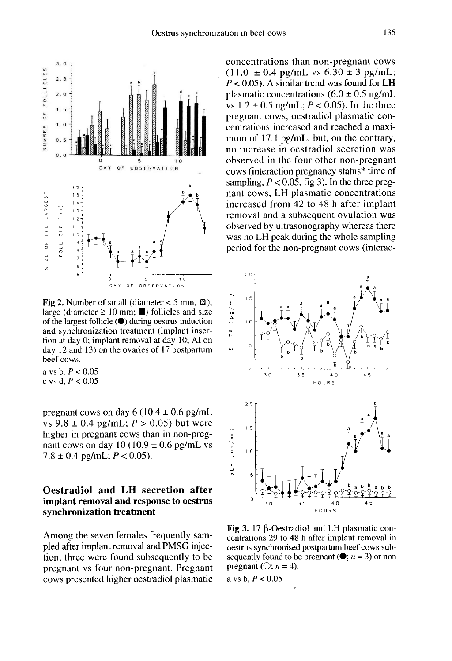

**Fig 2.** Number of small (diameter  $<$  5 mm,  $\varnothing$ ). large (diameter  $\geq 10$  mm;  $\blacksquare$ ) follicles and size of the largest follicle  $\left( \bullet \right)$  during oestrus induction and synchronization treatment (implant insertion at day 0; implant removal at day 10; AI on day 12 and 13) on the ovaries of 17 postpartum beef cows.

a vs b,  $P < 0.05$ c vs d,  $P < 0.05$ 

pregnant cows on day 6 (10.4  $\pm$  0.6 pg/mL vs  $9.8 \pm 0.4$  pg/mL;  $P > 0.05$ ) but were higher in pregnant cows than in non-pregnant cows on day 10 (10.9  $\pm$  0.6 pg/mL vs  $7.8 \pm 0.4$  pg/mL;  $P < 0.05$ ).

# Oestradiol and LH secretion after implant removal and response to oestrus synchronization treatment

Among the seven females frequently sampled after implant removal and PMSG injection, three were found subsequently to be pregnant vs four non-pregnant. Pregnant cows presented higher oestradiol plasmatic concentrations than non-pregnant cows  $(11.0 \pm 0.4 \text{ pc/mL}$  vs  $6.30 \pm 3 \text{ pc/mL}$ ;  $P < 0.05$ ). A similar trend was found for LH plasmatic concentrations  $(6.0 \pm 0.5 \text{ ng/mL})$ vs  $1.2 \pm 0.5$  ng/mL;  $P < 0.05$ ). In the three pregnant cows, oestradiol plasmatic concentrations increased and reached a maximum of 17.1 pg/mL, but, on the contrary, no increase in oestradiol secretion was observed in the four other non-pregnant cows (interaction pregnancy status<sup>\*</sup> time of sampling,  $P < 0.05$ , fig 3). In the three pregnant cows, LH plasmatic concentrations increased from 42 to 48 h after implant removal and a subsequent ovulation was observed by ultrasonography whereas there was no LH peak during the whole sampling period for the non-pregnant cows (interac-



Fig 3. 17 B-Oestradiol and LH plasmatic concentrations 29 to 48 h after implant removal in oestrus synchronised postpartum beef cows subsequently found to be pregnant ( $\bullet$ ; *n* = 3) or non pregnant ( $\bigcirc$ ; *n* = 4).

a vs b,  $P < 0.05$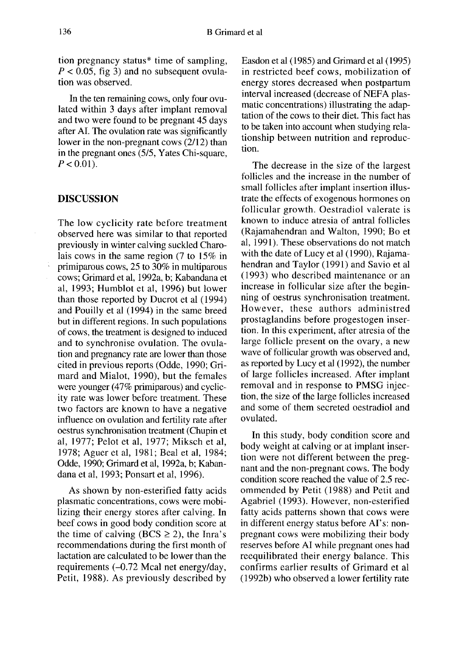136 B Grimard et al<br>tion pregnancy status\* time of sampling, Easdc  $P < 0.05$ , fig 3) and no subsequent ovulation was observed.

In the ten remaining cows, only four ovulated within 3 days after implant removal and two were found to be pregnant 45 days after AI. The ovulation rate was significantly lower in the non-pregnant cows (2/12) than in the pregnant ones (5/5, Yates Chi-square,  $P < 0.01$ ).

# DISCUSSION

The low cyclicity rate before treatment observed here was similar to that reported previously in winter calving suckled Charolais cows in the same region (7 to 15% in primiparous cows, 25 to 30% in multiparous cows; Grimard et al, 1992a, b; Kabandana et al, 1993; Humblot et al, 1996) but lower than those reported by Ducrot et al (1994) and Pouilly et al (1994) in the same breed but in different regions. In such populations of cows, the treatment is designed to induced and to synchronise ovulation. The ovulation and pregnancy rate are lower than those cited in previous reports (Odde, 1990; Grimard and Mialot, 1990), but the females were younger (47% primiparous) and cyclicity rate was lower before treatment. These two factors are known to have a negative influence on ovulation and fertility rate after oestrus synchronisation treatment (Chupin et al, 1977; Pelot et al, 1977; Miksch et al, 1978; Aguer et al, 1981; Beal et al, 1984; Odde, 1990; Grimard et al, 1992a, b; Kabandana et al, 1993; Ponsart et al, 1996).

As shown by non-esterified fatty acids plasmatic concentrations, cows were mobilizing their energy stores after calving. In beef cows in good body condition score at the time of calving (BCS  $\geq$  2), the Inra's recommendations during the first month of lactation are calculated to be lower than the requirements (-0.72 Mcal net energy/day, Petit, 1988). As previously described by Easdon et al (1985) and Grimard et al (1995) in restricted beef cows, mobilization of energy stores decreased when postpartum interval increased (decrease of NEFA plasmatic concentrations) illustrating the adaptation of the cows to their diet. This fact has to be taken into account when studying relationship between nutrition and reproduction.

The decrease in the size of the largest follicles and the increase in the number of small follicles after implant insertion illustrate the effects of exogenous hormones on follicular growth. Oestradiol valerate is known to induce atresia of antral follicles (Rajamahendran and Walton, 1990; Bo et al, 1991). These observations do not match with the date of Lucy et al (1990), Rajamahendran and Taylor (1991) and Savio et al (1993) who described maintenance or an increase in follicular size after the beginning of oestrus synchronisation treatment. However, these authors administred prostaglandins before progestogen insertion. In this experiment, after atresia of the large follicle present on the ovary, a new wave of follicular growth was observed and, as reported by Lucy et al (1992), the number of large follicles increased. After implant removal and in response to PMSG injection, the size of the large follicles increased and some of them secreted oestradiol and ovulated.

In this study, body condition score and body weight at calving or at implant insertion were not different between the pregnant and the non-pregnant cows. The body condition score reached the value of 2.5 recommended by Petit (1988) and Petit and Agabriel (1993). However, non-esterified fatty acids patterns shown that cows were in different energy status before AI's: nonpregnant cows were mobilizing their body reserves before AI while pregnant ones had reequilibrated their energy balance. This confirms earlier results of Grimard et al (1992b) who observed a lower fertility rate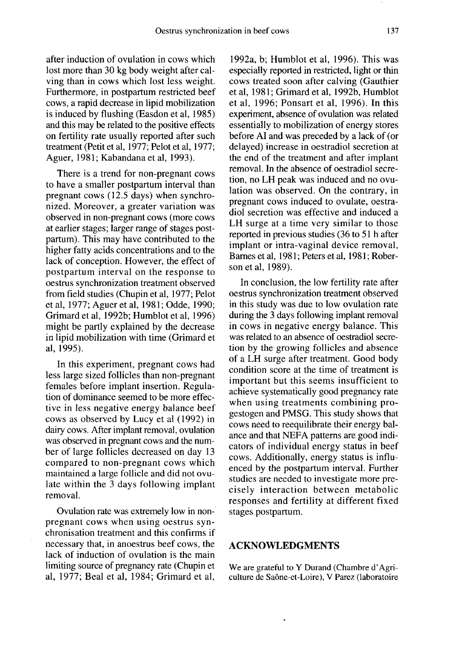after induction of ovulation in cows which lost more than 30 kg body weight after calving than in cows which lost less weight. Furthermore, in postpartum restricted beef cows, a rapid decrease in lipid mobilization is induced by flushing (Easdon et al, 1985) and this may be related to the positive effects on fertility rate usually reported after such treatment (Petit et al, 1977; Pelot et al, 1977; Aguer, 1981; Kabandana et al, 1993).

There is a trend for non-pregnant cows to have a smaller postpartum interval than pregnant cows (12.5 days) when synchronized. Moreover, a greater variation was observed in non-pregnant cows (more cows at earlier stages; larger range of stages postpartum). This may have contributed to the higher fatty acids concentrations and to the lack of conception. However, the effect of postpartum interval on the response to oestrus synchronization treatment observed from field studies (Chupin et al, 1977; Pelot et al, 1977; Aguer et al, 1981; Odde, 1990; Grimard et al, 1992b; Humblot et al, 1996) might be partly explained by the decrease in lipid mobilization with time (Grimard et al, 1995).

In this experiment, pregnant cows had less large sized follicles than non-pregnant females before implant insertion. Regulation of dominance seemed to be more effective in less negative energy balance beef cows as observed by Lucy et al (1992) in dairy cows. After implant removal, ovulation was observed in pregnant cows and the number of large follicles decreased on day 13 compared to non-pregnant cows which maintained a large follicle and did not ovulate within the 3 days following implant removal.

Ovulation rate was extremely low in nonpregnant cows when using oestrus synchronisation treatment and this confirms if necessary that, in anoestrus beef cows, the lack of induction of ovulation is the main limiting source of pregnancy rate (Chupin et al, 1977; Beal et al, 1984; Grimard et al,

1992a, b; Humblot et al, 1996). This was especially reported in restricted, light or thin cows treated soon after calving (Gauthier et al, 1981; Grimard et al, 1992b, Humblot et al, 1996; Ponsart et al, 1996). In this experiment, absence of ovulation was related essentially to mobilization of energy stores before AI and was preceded by a lack of (or delayed) increase in oestradiol secretion at the end of the treatment and after implant removal. In the absence of oestradiol secretion, no LH peak was induced and no ovulation was observed. On the contrary, in pregnant cows induced to ovulate, oestradiol secretion was effective and induced a LH surge at a time very similar to those reported in previous studies (36 to 51 h after implant or intra-vaginal device removal, Barnes et al, 1981; Peters et al, 1981; Roberson et al, 1989).

In conclusion, the low fertility rate after oestrus synchronization treatment observed in this study was due to low ovulation rate during the 3 days following implant removal in cows in negative energy balance. This was related to an absence of oestradiol secretion by the growing follicles and absence of a LH surge after treatment. Good body condition score at the time of treatment is important but this seems insufficient to achieve systematically good pregnancy rate when using treatments combining progestogen and PMSG. This study shows that cows need to reequilibrate their energy balance and that NEFA patterns are good indicators of individual energy status in beef cows. Additionally, energy status is influenced by the postpartum interval. Further studies are needed to investigate more precisely interaction between metabolic responses and fertility at different fixed stages postpartum.

# ACKNOWLEDGMENTS

We are grateful to Y Durand (Chambre d'Agriculture de Sa6ne-et-Loire), V Parez (laboratoire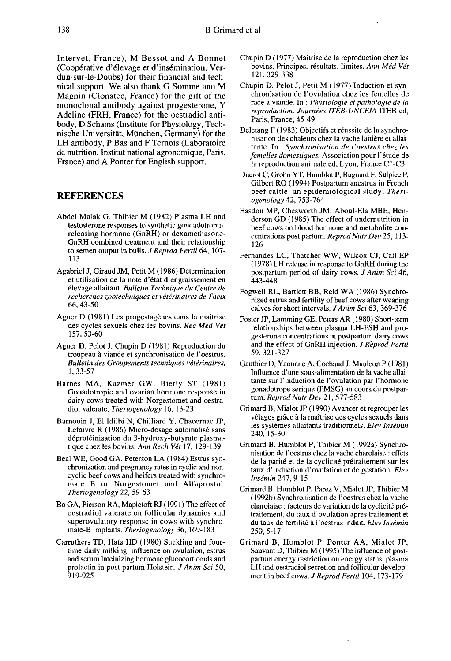Intervet, France), M Bessot and A Bonnet (Cooperative d'élevage et d'insémination, Verdun-sur-le-Doubs) for their financial and technical support. We also thank G Somme and M Magnin (Clonatec, France) for the gift of the monoclonal antibody against progesterone, Y Adeline (FRH, France) for the oestradiol antibody, D Schams (Institute for Physiology, Technische Universitat, Miinchen, Germany) for the LH antibody, P Bas and F Ternois (Laboratoire de nutrition, Institut national agronomique, Paris, France) and A Ponter for English support.

# **REFERENCES**

- Abdel Malak G, Thibier M (1982) Plasma LH and testosterone responses to synthetic gondadotropinreleasing hormone (GnRH) or dexamethasone-GnRH combined treatment and their relationship to semen output in bulls. *J Reprod Fertil* 64, 107-113
- Agabriel J, Giraud JM, Petit M (1986) Détermination et utilisation de la note d'état d'engraissement en 6levage allaitant. Bulletin Technique du Centre de recherches zootechniques et vétérinaires de Theix 66, 43-50
- Aguer D (1981) Les progestagènes dans la maitrise des cycles sexuels chez les bovins. Rec Med Vet 157, 53-60
- Aguer D, Pelot J, Chupin D (1981) Reproduction du troupeau a viande et synchronisation de 1'oestrus. Bulletin des Groupements techniques vétérinaires, 1, 33-57
- Barnes MA, Kazmer GW, Bierly ST (1981) Gonadotropic and ovarian hormone response in dairy cows treated with Norgestomet and oestradiol valerate. Theriogenology 16, 13-23
- Barnouin J, El Idilbi N, Chilliard Y, Chacornac JP, Lefaivre R (1986) Micro-dosage automatisé sans déprotéinisation du 3-hydroxy-butyrate plasmatique chez les bovins. Ann Rech Vét 17, 129-139
- Beal WE, Good GA, Peterson LA (1984) Estrus syn chronization and pregnancy rates in cyclic and nonmate B or Norgestomet and Alfaprostol. Theriogenology 22, 59-63
- Bo GA, Pierson RA, Mapletoft RJ (1991) The effect of oestradiol valerate on follicular dynamics and superovulatory response in cows with synchro mate-B implants. Theriogenology 36, 169-183
- Carruthers TD, Hafs HD (1980) Suckling and fourtime-daily milking, influence on ovulation, estrus and serum luteinizing hormone glucocorticoïds and prolactin in post partum Holstein. J Anim Sci 50, 919-925
- Chupin D ( 1977) Maitrise de la reproduction chez les bovins. Principes, résultats, limites. Ann Méd Vét 121, 329-338
- Chupin D, Pelot J, Petit M (1977) Induction et syn chronisation de 1'ovulation chez les femelles de race à viande. In : Physiologie et pathologie de la reproduction. Journées ITEB-UNCElA ITEB ed, Paris, France, 45-49
- Deletang F (1983) Objectifs et réussite de la synchronisation des chaleurs chez la vache laitière et allaitante. In : Synchronisation de l'oestrus chez les femelles domestiques. Association pour l'étude de la reproduction animale ed, Lyon, France Cl-C3
- Ducrot C, Grohn YT, Humblot P, Bugnard F, Sulpice P, Gilbert RO (1994) Postpartum anestrus in French beef cattle: an epidemiological study, Theriogenology 42, 753-764
- Easdon MP, Chesworth JM, Aboul-Ela MBE, Henderson GD (1985) The effect of undernutrition in beef cows on blood hormone and metabolite concentrations post partum. Reprod Nutr Dev 25, 113- 126
- Fernandes LC, Thatcher WW, Wilcox CJ, Call EP (1978) LH release in response to GnRH during the postpartum period of dairy cows. J Anim Sci 46, 443-448
- Fogwell RL, Bartlett BB, Reid WA (1986) Synchronized estrus and fertility of beef cows after weaning calves for short intervals. J Anim Sci 63, 369-376
- Foster JP, Lamming GE, Peters AR (1980) Short-term relationships between plasma LH-FSH and progesterone concentrations in postpartum dairy cows and the effect of GnRH injection. J Reprod Fertil 59,321-327
- Gauthier D, Yaouanc A, Cochaud J, Mauleon P ( 1981 ) Influence d'une sous-alimentation de la vache allaitante sur 1'induction de 1'ovulation par I'hormone gonadotrope serique (PMSG) au cours du postpar tum. Reprod Nutr Dev 21, 577-583
- Grimard B, Mialot JP (1990) Avancer et regrouper les vêlages grace a la maitrise des cycles sexuels dans les systèmes allaitants traditionnels. Elev Insémin 240,15-30
- Grimard B, Humblot P, Thibier M (1992a) Synchronisation de 1'oestrus chez la vache charolaise : effets de la parité et de la cyclicité prétraitement sur les taux d'induction d'ovulation et de gestation. Elev Insémin 247, 9-15
- Grimard B, Humblot P, Parez V, Mialot JP, Thibier M (1992b) Synchronisation de l'oestrus chez la vache charolaise : facteurs de variation de la cyclicité prétraitement, du taux d'ovulation après traitement et du taux de fertilité à l'oestrus induit. Elev Insémin 250, 5-17
- Grimard B, Humblot P, Ponter AA, Mialot JP,<br>Sauvant D, Thibier M (1995) The influence of post-<br>partum energy restriction on energy status, plasma LH and oestradiol secretion and follicular development in beef cows. J Reprod Fertil 104, 173-179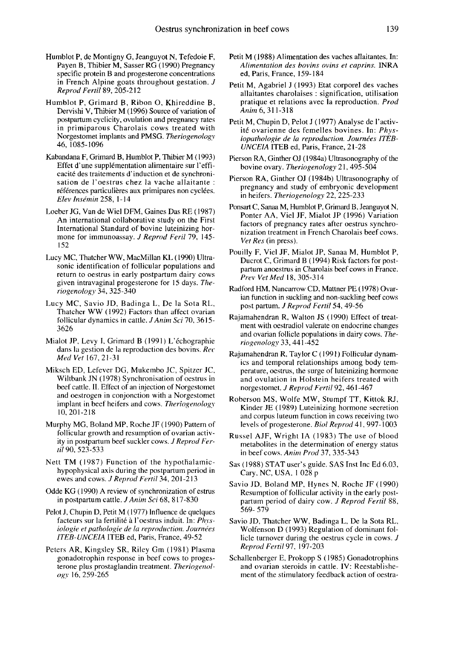- Humblot P, de Montigny G, Jeanguyot N, Tefedoie F, Payen B, Thibier M, Sasser RG (1990) Pregnancy specific protein B and progesterone concentrations in French Alpine goats throughout gestation. J  $Reprod$  Fertil  $89, 205-212$
- Humblot P, Grimard B, Ribon 0, Khireddine B, Dervishi V, Thibier M (1996) Source of variation of postpartum cyclicity, ovulation and pregnancy rates in primiparous Charolais cows treated with Norgestomet implants and PMSG. Theriogenology 46, 1085-1096
- Kabandana F, Grimard B, Humblot P, Thibier M (1993) Effet d'une supplémentation alimentaire sur l'efficacite des traitements d'induction et de synchronisation de 1'oestrus chez la vache allaitante : références particulières aux primipares non cyclées. Elev Insémin 258, 1-14
- LoeberJG, Van de Wiel DFM, Gaines Das RE (1987) An international collaborative study on the First International Standard of bovine luteinizing hormone for immunoassay. J Reprod Feril 79, 145-152
- Lucy MC, Thatcher WW, MacMillan KL (1990) Ultrasonic identification of follicular populations and return to oestrus in early postpartum dairy cows given intravaginal progesterone for 15 days. Theriogenology 34, 325-340
- Lucy MC, Savio JD, Badinga L, De la Sota RL,<br>Thatcher WW (1992) Factors than affect ovarian<br>follicular dynamics in cattle. *J Anim Sci* 70, 3615-<br>3626 3626
- Mialot JP, Levy I, Grimard B (1991) L'échographie dans la gestion de la reproduction des bovins. Rec Med Vet 167, 21-31
- Miksch ED, Lefever DG, Mukembo JC, Spitzer JC, Wiltbank JN (1978) Synchronisation of oestrus in beef cattle. II. Effect of an injection of Norgestomet and oestrogen in conjonction with a Norgestomet implant in beef 10,201-2l8 8 Froman B (1771) E emographic<br>de la reproduction des bovins. *Rec*<br>1-31<br>ar DG, Mukembo JC, Spitzer JC,<br>778) Synchronisation of osetrus in<br>fect of an injection of Norgestomet<br>heifers and cows. *Theriogenology*<br>of MB Bocho JE
- Murphy MG, Boland MP, Roche JF ( 1990) Pattern of follicular growth and resumption of ovarian activity in postpartum beef suckler cows. J Reprod Fertil 90, 523-533
- Nett TM (1987) Function of the hypothalamichypophysical axis during the postpartum period in ewes and cows. J Reprod Fertil 34, 201-213
- Odde KG ( 1990) A review of synchronization of estrus in postpartum cattle. JAnim Sci 68, 8l7-830
- Pelot J, Chupin D, Petit M (1977) Influence de quelques facteurs sur la fertilité à l'oestrus induit. In: Physiologie et pathologie de la reproduction. Journées ITEB-UNCEIA ITEB ed, Paris, France, 49-52
- Peters AR, Kingsley SR, Riley Gm (1981) Plasma gonadotrophin response in beef cows to proges terone plus prostaglandin treatment. Theriogenology 16, 259-265
- Petit M (1988) Alimentation des vaches allaitantes. In: Alimentation des bovins ovins et caprins. INRA ed, Paris, France, 159-184
- Petit M, Agabriel J (1993) Etat corporel des vaches allaitantes charolaises : signification, utilisation pratique et relations avec la reproduction. Prod Anim 6, 311-318
- Petit M, Chupin D, Pelot J (1977) Analyse de I'activité ovarienne des femelles bovines. In: Phvsiopathologie de la reproduction. Journées ITEB-UNCElA ITEB ed, Paris, France, 21-28
- Pierson RA, Ginther OJ (1984a) Ultrasonography of the bovine ovary. Theriogenology 21, 495-504
- Pierson RA, Ginther OJ (1984b) Ultrasonography of pregnancy and study of embryonic development in heifers. Theriogenology 22, 225-233
- Ponsart C, Sanaa M, Humblot P, Grimard B, Jeanguyot N, Ponter AA, Viel JF, Mialot JP (1996) Variation factors of pregnancy rates after oestrus synchronization treatment in French Charolais beef cows. Vet Res (in press).
- Pouilly F, Viel JF, Mialot JP, Sanaa M, Humblot P, Ducrot C, Grimard B (1994) Risk factors for postpartum anoestrus in Charolais beef cows in France. Prev VetMed 18, 305-314
- Radford HM, Nancarrow CD, Mattner PE (1978) Ovarian function in suckling and non-suckling beef cows post partum. J Reprod Fertil 54, 49-56
- Rajamahendran R, Walton JS ( 1990) Effect of treatment with oestradiol valerate on endocrine changes and ovarian follicle populations in dairy cows. The $riogenology$  33, 441-452
- Rajamahendran R, Taylor C ( 1991 ) Follicular dynamics and temporal relationships among body temperature, oestrus, the surge of luteinizing hormone and ovulation in Holstein heifers treated with norgestomet. J Reprod Fertil 92, 461-467
- Roberson MS, Wolfe MW, Stumpf TT, Kittok RJ, Kinder JE (1989) Luteinizing hormone secretion and corpus luteum function in cows receiving two levels of progesterone. Biol Reprod 41, 997-1003
- Russel AJF, Wright IA (1983) The use of blood metabolites in the determination of energy status in beef cows. Anim Prod 37, 335-343
- Sas (1988) STAT user's guide. SAS Inst Inc Ed 6.03, Cary, NC, USA, 1 028 p
- Savio JD, Boland MP, Hynes N, Roche JF (1990) Resumption of follicular activity in the early postpartum period of dairy cow. J Reprod Fertil 88, 569- 579
- Savio JD, Thatcher WW, Badinga L, De la Sota RL, Wolfenson D (1993) Regulation of dominant follicle turnover during the oestrus cycle in cows. J Reprod Fertil 97, 197-203
- Schallenberger E, Prokopp S (1985) Gonadotrophins and ovarian steroids in cattle. IV: Reestablishement of the stimulatory feedback action of oestra-